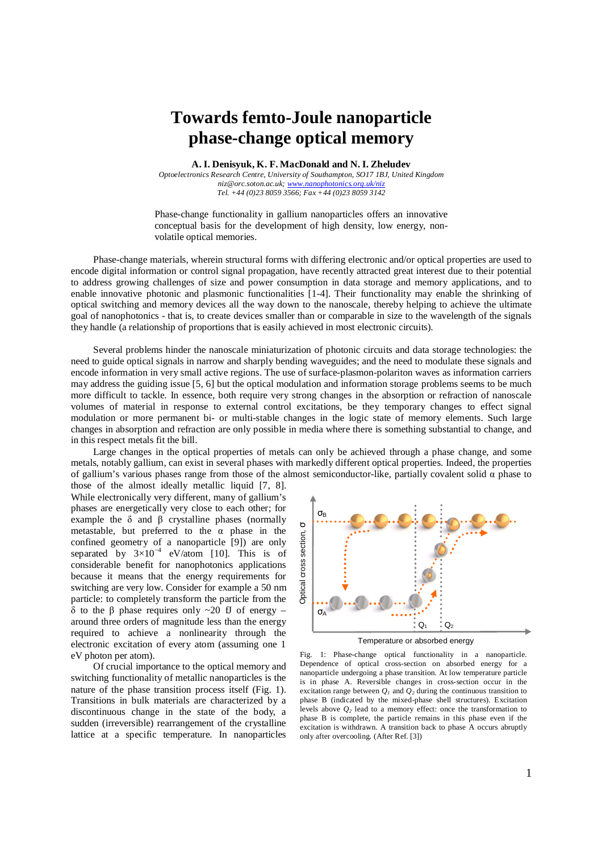## **Towards femto-Joule nanoparticle phase-change optical memory**

**A. I. Denisyuk, K. F. MacDonald and N. I. Zheludev** 

*Optoelectronics Research Centre, University of Southampton, SO17 1BJ, United Kingdom niz@orc.soton.ac.uk; www.nanophotonics.org.uk/niz Tel. +44 (0)23 8059 3566; Fax +44 (0)23 8059 3142* 

Phase-change functionality in gallium nanoparticles offers an innovative conceptual basis for the development of high density, low energy, nonvolatile optical memories.

Phase-change materials, wherein structural forms with differing electronic and/or optical properties are used to encode digital information or control signal propagation, have recently attracted great interest due to their potential to address growing challenges of size and power consumption in data storage and memory applications, and to enable innovative photonic and plasmonic functionalities [1-4]. Their functionality may enable the shrinking of optical switching and memory devices all the way down to the nanoscale, thereby helping to achieve the ultimate goal of nanophotonics - that is, to create devices smaller than or comparable in size to the wavelength of the signals they handle (a relationship of proportions that is easily achieved in most electronic circuits).

Several problems hinder the nanoscale miniaturization of photonic circuits and data storage technologies: the need to guide optical signals in narrow and sharply bending waveguides; and the need to modulate these signals and encode information in very small active regions. The use of surface-plasmon-polariton waves as information carriers may address the guiding issue [5, 6] but the optical modulation and information storage problems seems to be much more difficult to tackle. In essence, both require very strong changes in the absorption or refraction of nanoscale volumes of material in response to external control excitations, be they temporary changes to effect signal modulation or more permanent bi- or multi-stable changes in the logic state of memory elements. Such large changes in absorption and refraction are only possible in media where there is something substantial to change, and in this respect metals fit the bill.

Large changes in the optical properties of metals can only be achieved through a phase change, and some metals, notably gallium, can exist in several phases with markedly different optical properties. Indeed, the properties of gallium's various phases range from those of the almost semiconductor-like, partially covalent solid  $\alpha$  phase to

those of the almost ideally metallic liquid [7, 8]. While electronically very different, many of gallium's phases are energetically very close to each other; for example the δ and β crystalline phases (normally metastable, but preferred to the  $\alpha$  phase in the confined geometry of a nanoparticle [9]) are only separated by  $3\times10^{-4}$  eV/atom [10]. This is of considerable benefit for nanophotonics applications because it means that the energy requirements for switching are very low. Consider for example a 50 nm particle: to completely transform the particle from the δ to the β phase requires only ~20 fJ of energy – around three orders of magnitude less than the energy required to achieve a nonlinearity through the electronic excitation of every atom (assuming one 1 eV photon per atom).

Of crucial importance to the optical memory and switching functionality of metallic nanoparticles is the nature of the phase transition process itself (Fig. 1). Transitions in bulk materials are characterized by a discontinuous change in the state of the body, a sudden (irreversible) rearrangement of the crystalline lattice at a specific temperature. In nanoparticles



Temperature or absorbed energy

Fig. 1: Phase-change optical functionality in a nanoparticle. Dependence of optical cross-section on absorbed energy for a nanoparticle undergoing a phase transition. At low temperature particle is in phase A. Reversible changes in cross-section occur in the excitation range between  $Q_1$  and  $Q_2$  during the continuous transition to phase B (indicated by the mixed-phase shell structures). Excitation levels above  $Q_2$  lead to a memory effect: once the transformation to phase B is complete, the particle remains in this phase even if the excitation is withdrawn. A transition back to phase A occurs abruptly only after overcooling. (After Ref. [3])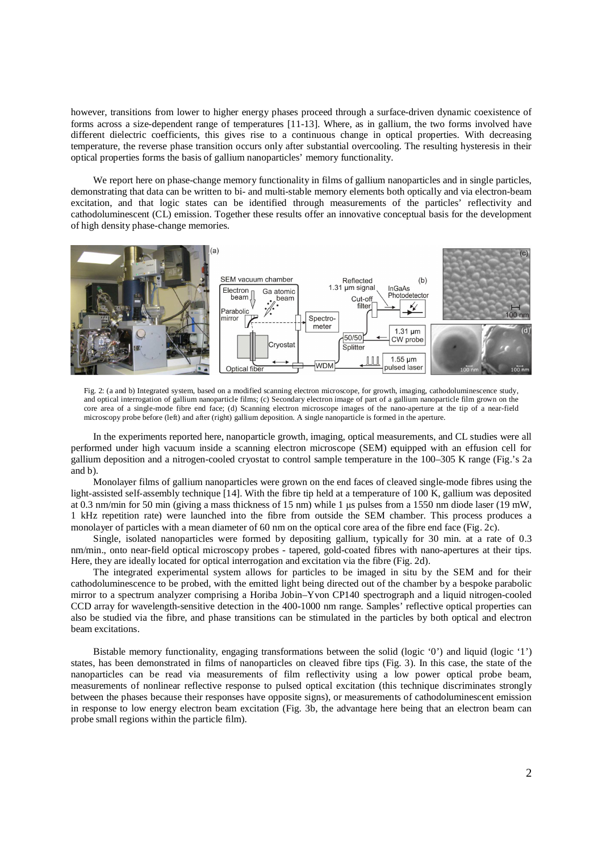however, transitions from lower to higher energy phases proceed through a surface-driven dynamic coexistence of forms across a size-dependent range of temperatures [11-13]. Where, as in gallium, the two forms involved have different dielectric coefficients, this gives rise to a continuous change in optical properties. With decreasing temperature, the reverse phase transition occurs only after substantial overcooling. The resulting hysteresis in their optical properties forms the basis of gallium nanoparticles' memory functionality.

We report here on phase-change memory functionality in films of gallium nanoparticles and in single particles, demonstrating that data can be written to bi- and multi-stable memory elements both optically and via electron-beam excitation, and that logic states can be identified through measurements of the particles' reflectivity and cathodoluminescent (CL) emission. Together these results offer an innovative conceptual basis for the development of high density phase-change memories.



Fig. 2: (a and b) Integrated system, based on a modified scanning electron microscope, for growth, imaging, cathodoluminescence study, and optical interrogation of gallium nanoparticle films; (c) Secondary electron image of part of a gallium nanoparticle film grown on the core area of a single-mode fibre end face; (d) Scanning electron microscope images of the nano-aperture at the tip of a near-field microscopy probe before (left) and after (right) gallium deposition. A single nanoparticle is formed in the aperture.

In the experiments reported here, nanoparticle growth, imaging, optical measurements, and CL studies were all performed under high vacuum inside a scanning electron microscope (SEM) equipped with an effusion cell for gallium deposition and a nitrogen-cooled cryostat to control sample temperature in the 100–305 K range (Fig.'s 2a and b).

Monolayer films of gallium nanoparticles were grown on the end faces of cleaved single-mode fibres using the light-assisted self-assembly technique [14]. With the fibre tip held at a temperature of 100 K, gallium was deposited at 0.3 nm/min for 50 min (giving a mass thickness of 15 nm) while 1 us pulses from a 1550 nm diode laser (19 mW, 1 kHz repetition rate) were launched into the fibre from outside the SEM chamber. This process produces a monolayer of particles with a mean diameter of 60 nm on the optical core area of the fibre end face (Fig. 2c).

Single, isolated nanoparticles were formed by depositing gallium, typically for 30 min. at a rate of 0.3 nm/min., onto near-field optical microscopy probes - tapered, gold-coated fibres with nano-apertures at their tips. Here, they are ideally located for optical interrogation and excitation via the fibre (Fig. 2d).

The integrated experimental system allows for particles to be imaged in situ by the SEM and for their cathodoluminescence to be probed, with the emitted light being directed out of the chamber by a bespoke parabolic mirror to a spectrum analyzer comprising a Horiba Jobin–Yvon CP140 spectrograph and a liquid nitrogen-cooled CCD array for wavelength-sensitive detection in the 400-1000 nm range. Samples' reflective optical properties can also be studied via the fibre, and phase transitions can be stimulated in the particles by both optical and electron beam excitations.

Bistable memory functionality, engaging transformations between the solid (logic '0') and liquid (logic '1') states, has been demonstrated in films of nanoparticles on cleaved fibre tips (Fig. 3). In this case, the state of the nanoparticles can be read via measurements of film reflectivity using a low power optical probe beam, measurements of nonlinear reflective response to pulsed optical excitation (this technique discriminates strongly between the phases because their responses have opposite signs), or measurements of cathodoluminescent emission in response to low energy electron beam excitation (Fig. 3b, the advantage here being that an electron beam can probe small regions within the particle film).